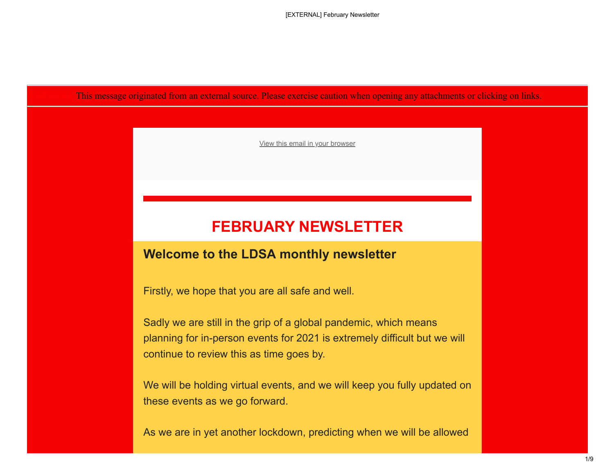This message originated from an external source. Please exercise caution when opening any attachments or clicking on links.

[View this email in your browser](https://webmail.cmft.nhs.uk/owa/redir.aspx?C=__UElJdsxlmdagKJ8PJbHNspRAfR7TsHM8Br_hcq-bRzhLEAu9jYCA..&URL=https%3a%2f%2furldefense.proofpoint.com%2fv2%2furl%3fu%3dhttps-3A__mailchi.mp_9f299a14703a_october-2Dnewsletter-2D9526796-3Fe-3Dc0b1e23140%26d%3dDwMFaQ%26c%3dbMxC-A1upgdsx4J2OmDkk2Eep4PyO1BA6pjHrrW-ii0%26r%3dp65JljLuf_RzY5o3_UjUOV2pRcFgIvTOFIJTKsiDlrA%26m%3dIJcj1gFskX1sxHCzO0rut9-4ClGcmWsA1DUJrxseHOo%26s%3d_Pl0NaXGz-GVR2PhH5_emecLxnliMgk6eeFZgFtcxo8%26e%3d)

# **FEBRUARY NEWSLETTER**

#### **Welcome to the LDSA monthly newsletter**

Firstly, we hope that you are all safe and well.

Sadly we are still in the grip of a global pandemic, which means planning for in-person events for 2021 is extremely difficult but we will continue to review this as time goes by.

We will be holding virtual events, and we will keep you fully updated on these events as we go forward.

As we are in yet another lockdown, predicting when we will be allowed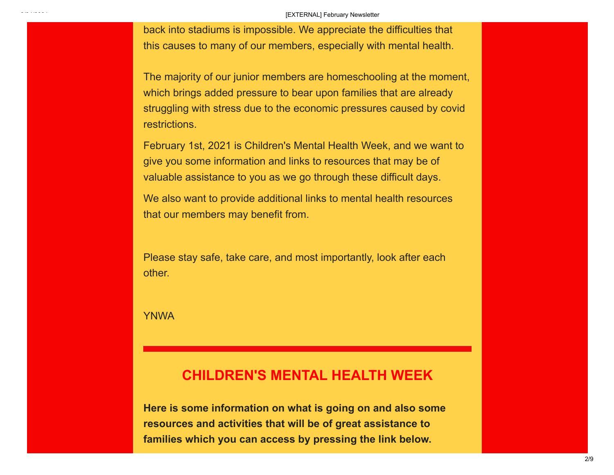back into stadiums is impossible. We appreciate the difficulties that this causes to many of our members, especially with mental health.

The majority of our junior members are homeschooling at the moment, which brings added pressure to bear upon families that are already struggling with stress due to the economic pressures caused by covid restrictions.

February 1st, 2021 is Children's Mental Health Week, and we want to give you some information and links to resources that may be of valuable assistance to you as we go through these difficult days.

We also want to provide additional links to mental health resources that our members may benefit from.

Please stay safe, take care, and most importantly, look after each other.

YNWA

#### **CHILDREN'S MENTAL HEALTH WEEK**

**Here is some information on what is going on and also some resources and activities that will be of great assistance to families which you can access by pressing the link below.**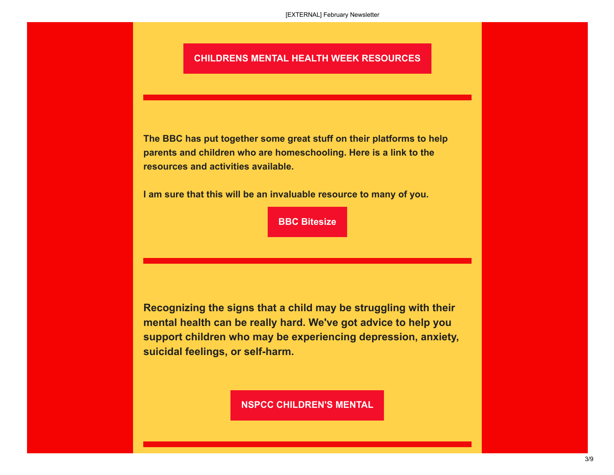#### **[CHILDRENS MENTAL HEALTH WEEK RESOURCES](https://webmail.cmft.nhs.uk/owa/redir.aspx?C=ndjRfR9HWPRSiQcvmuhMeEanH1nQpjOMnIs-nVIxbphzhLEAu9jYCA..&URL=https%3a%2f%2furldefense.proofpoint.com%2fv2%2furl%3fu%3dhttps-3A__liverpooldsa.us4.list-2Dmanage.com_track_click-3Fu-3D4141cec5f7c5a79042d771c54-26id-3D5b06794231-26e-3Dc0b1e23140%26d%3dDwMFaQ%26c%3dbMxC-A1upgdsx4J2OmDkk2Eep4PyO1BA6pjHrrW-ii0%26r%3dp65JljLuf_RzY5o3_UjUOV2pRcFgIvTOFIJTKsiDlrA%26m%3dIJcj1gFskX1sxHCzO0rut9-4ClGcmWsA1DUJrxseHOo%26s%3dwF3aFUBfx2qnT7wBeVv56CQ6yDJNDBbCFgreChEpk3o%26e%3d)**

**The BBC has put together some great stuff on their platforms to help parents and children who are homeschooling. Here is a link to the resources and activities available.**

**I am sure that this will be an invaluable resource to many of you.** 

**[BBC Bitesize](https://webmail.cmft.nhs.uk/owa/redir.aspx?C=Kpkoj5d88EPsI8ByAlkPtoaNA1fxpi3Z16sGXWlIystzhLEAu9jYCA..&URL=https%3a%2f%2furldefense.proofpoint.com%2fv2%2furl%3fu%3dhttps-3A__liverpooldsa.us4.list-2Dmanage.com_track_click-3Fu-3D4141cec5f7c5a79042d771c54-26id-3D527a5930d2-26e-3Dc0b1e23140%26d%3dDwMFaQ%26c%3dbMxC-A1upgdsx4J2OmDkk2Eep4PyO1BA6pjHrrW-ii0%26r%3dp65JljLuf_RzY5o3_UjUOV2pRcFgIvTOFIJTKsiDlrA%26m%3dIJcj1gFskX1sxHCzO0rut9-4ClGcmWsA1DUJrxseHOo%26s%3dxrMfLzcG2yO9-JrVZ53_qoAZ0HpoI8qR-f9iVCjfcm0%26e%3d)**

**Recognizing the signs that a child may be struggling with their mental health can be really hard. We've got advice to help you support children who may be experiencing depression, anxiety, suicidal feelings, or self-harm.** 

**[NSPCC CHILDREN'S MENTAL](https://webmail.cmft.nhs.uk/owa/redir.aspx?C=1X7I4as04VN2lbBVr8kzekNUMb_N3bwEJFn5j0_XQQBzhLEAu9jYCA..&URL=https%3a%2f%2furldefense.proofpoint.com%2fv2%2furl%3fu%3dhttps-3A__liverpooldsa.us4.list-2Dmanage.com_track_click-3Fu-3D4141cec5f7c5a79042d771c54-26id-3D03d6b163e5-26e-3Dc0b1e23140%26d%3dDwMFaQ%26c%3dbMxC-A1upgdsx4J2OmDkk2Eep4PyO1BA6pjHrrW-ii0%26r%3dp65JljLuf_RzY5o3_UjUOV2pRcFgIvTOFIJTKsiDlrA%26m%3dIJcj1gFskX1sxHCzO0rut9-4ClGcmWsA1DUJrxseHOo%26s%3dOHRB3C3fAxXhMUedw0_R7CtBZin5TaaiUEfz-I67vLM%26e%3d)**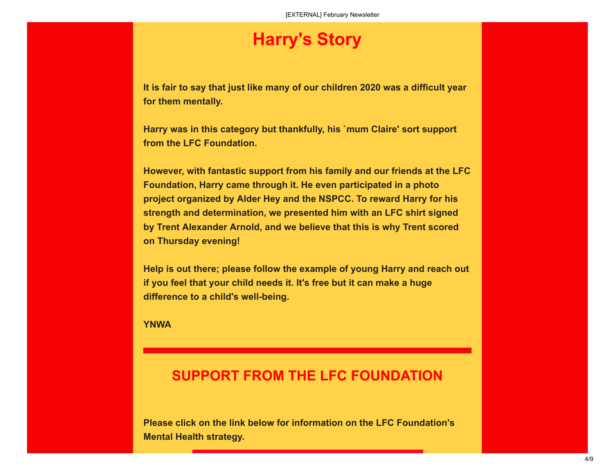# **Harry's Story**

**It is fair to say that just like many of our children 2020 was a difficult year for them mentally.**

**Harry was in this category but thankfully, his `mum Claire' sort support from the LFC Foundation.**

**However, with fantastic support from his family and our friends at the LFC Foundation, Harry came through it. He even participated in a photo project organized by Alder Hey and the NSPCC. To reward Harry for his strength and determination, we presented him with an LFC shirt signed by Trent Alexander Arnold, and we believe that this is why Trent scored on Thursday evening!**

**Help is out there; please follow the example of young Harry and reach out if you feel that your child needs it. It's free but it can make a huge difference to a child's well-being.**

**YNWA**

#### **SUPPORT FROM THE LFC FOUNDATION**

**Please click on the link below for information on the LFC Foundation's Mental Health strategy.**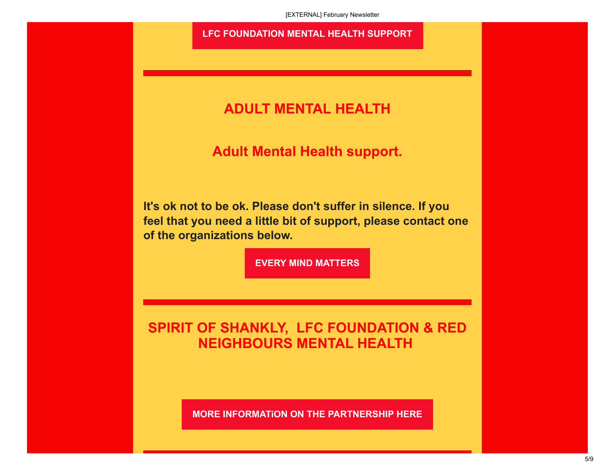#### **[LFC FOUNDATION MENTAL HEALTH SUPPORT](https://webmail.cmft.nhs.uk/owa/redir.aspx?C=fbRScKts4IP4iTfAFfm0ry-CDgmIXqyy4XYKKXb8zt9zhLEAu9jYCA..&URL=https%3a%2f%2furldefense.proofpoint.com%2fv2%2furl%3fu%3dhttps-3A__liverpooldsa.us4.list-2Dmanage.com_track_click-3Fu-3D4141cec5f7c5a79042d771c54-26id-3Db8bcb058a9-26e-3Dc0b1e23140%26d%3dDwMFaQ%26c%3dbMxC-A1upgdsx4J2OmDkk2Eep4PyO1BA6pjHrrW-ii0%26r%3dp65JljLuf_RzY5o3_UjUOV2pRcFgIvTOFIJTKsiDlrA%26m%3dIJcj1gFskX1sxHCzO0rut9-4ClGcmWsA1DUJrxseHOo%26s%3dgVK59HgIGuJFaLJ6_jq5JbRAoGCGOpjdD7bVvFVGr2k%26e%3d)**

### **ADULT MENTAL HEALTH**

**Adult Mental Health support.**

**It's ok not to be ok. Please don't suffer in silence. If you feel that you need a little bit of support, please contact one of the organizations below.**

**EVERY [MIND MATTERS](https://webmail.cmft.nhs.uk/owa/redir.aspx?C=3qHa6QPJwDZMaIEaeB5Xd0QbE2SA3ywQl_arUv2fwchzhLEAu9jYCA..&URL=https%3a%2f%2furldefense.proofpoint.com%2fv2%2furl%3fu%3dhttps-3A__liverpooldsa.us4.list-2Dmanage.com_track_click-3Fu-3D4141cec5f7c5a79042d771c54-26id-3Dfe04dc8361-26e-3Dc0b1e23140%26d%3dDwMFaQ%26c%3dbMxC-A1upgdsx4J2OmDkk2Eep4PyO1BA6pjHrrW-ii0%26r%3dp65JljLuf_RzY5o3_UjUOV2pRcFgIvTOFIJTKsiDlrA%26m%3dIJcj1gFskX1sxHCzO0rut9-4ClGcmWsA1DUJrxseHOo%26s%3dzCMcZxf9oyMX_M8yUbd8uCictnK5uswf9Lhs0bIQNNo%26e%3d)**

**SPIRIT OF SHANKLY, LFC FOUNDATION & RED NEIGHBOURS MENTAL HEALTH** 

**[MORE INFORMATiON ON THE PARTNERSHIP HERE](https://webmail.cmft.nhs.uk/owa/redir.aspx?C=R1V0JjckkByhAENV3Ts3-18imjRd59u8dDtLQbO-KFdzhLEAu9jYCA..&URL=https%3a%2f%2furldefense.proofpoint.com%2fv2%2furl%3fu%3dhttps-3A__liverpooldsa.us4.list-2Dmanage.com_track_click-3Fu-3D4141cec5f7c5a79042d771c54-26id-3D08a0297ea0-26e-3Dc0b1e23140%26d%3dDwMFaQ%26c%3dbMxC-A1upgdsx4J2OmDkk2Eep4PyO1BA6pjHrrW-ii0%26r%3dp65JljLuf_RzY5o3_UjUOV2pRcFgIvTOFIJTKsiDlrA%26m%3dIJcj1gFskX1sxHCzO0rut9-4ClGcmWsA1DUJrxseHOo%26s%3dMdtNuUSTyHQbVfHihqsfDFRLM7R_DswToRf6sm2O2u0%26e%3d)**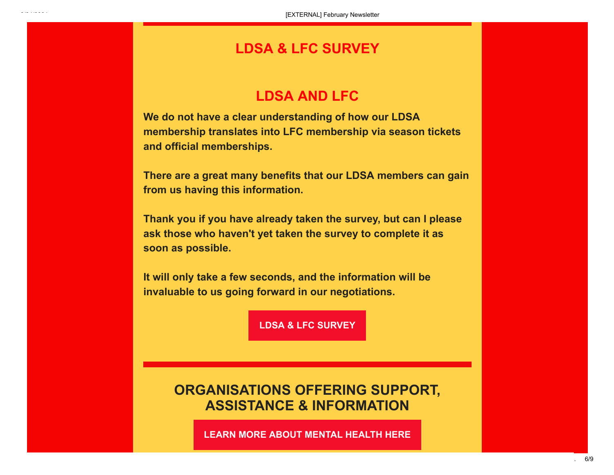#### **LDSA & LFC SURVEY**

### **LDSA AND LFC**

**We do not have a clear understanding of how our LDSA membership translates into LFC membership via season tickets and official memberships.**

**There are a great many benefits that our LDSA members can gain from us having this information.**

**Thank you if you have already taken the survey, but can I please ask those who haven't yet taken the survey to complete it as soon as possible.**

**It will only take a few seconds, and the information will be invaluable to us going forward in our negotiations.**

**LDSA [& LFC SURVEY](https://webmail.cmft.nhs.uk/owa/redir.aspx?C=8eCmr-t_E2T522aXZcJN9nbpK23VFmWnquIOKZDEHWNzhLEAu9jYCA..&URL=https%3a%2f%2furldefense.proofpoint.com%2fv2%2furl%3fu%3dhttps-3A__liverpooldsa.us4.list-2Dmanage.com_track_click-3Fu-3D4141cec5f7c5a79042d771c54-26id-3D086d5726a3-26e-3Dc0b1e23140%26d%3dDwMFaQ%26c%3dbMxC-A1upgdsx4J2OmDkk2Eep4PyO1BA6pjHrrW-ii0%26r%3dp65JljLuf_RzY5o3_UjUOV2pRcFgIvTOFIJTKsiDlrA%26m%3dIJcj1gFskX1sxHCzO0rut9-4ClGcmWsA1DUJrxseHOo%26s%3dhWw-jg7Siz3yfgLsOS8CCvR0Ih33rczBUt5ZkYzx0kE%26e%3d)**

## **ORGANISATIONS OFFERING SUPPORT, ASSISTANCE & INFORMATION**

**[LEARN MORE ABOUT MENTAL HEALTH HERE](https://webmail.cmft.nhs.uk/owa/redir.aspx?C=fN0H-JcI_G9PEBWxAum5VYdNRYqF1nzWQLWU8boUeXlzhLEAu9jYCA..&URL=https%3a%2f%2furldefense.proofpoint.com%2fv2%2furl%3fu%3dhttps-3A__liverpooldsa.us4.list-2Dmanage.com_track_click-3Fu-3D4141cec5f7c5a79042d771c54-26id-3D507e0d5fd2-26e-3Dc0b1e23140%26d%3dDwMFaQ%26c%3dbMxC-A1upgdsx4J2OmDkk2Eep4PyO1BA6pjHrrW-ii0%26r%3dp65JljLuf_RzY5o3_UjUOV2pRcFgIvTOFIJTKsiDlrA%26m%3dIJcj1gFskX1sxHCzO0rut9-4ClGcmWsA1DUJrxseHOo%26s%3d80b0Ki3tm-rP_8w44YORdUMDqzFU0S7jL_hPUzWZcd0%26e%3d)**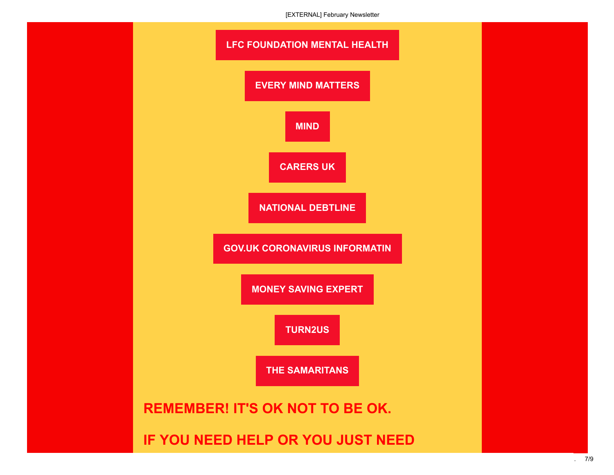[EXTERNAL] February Newsletter

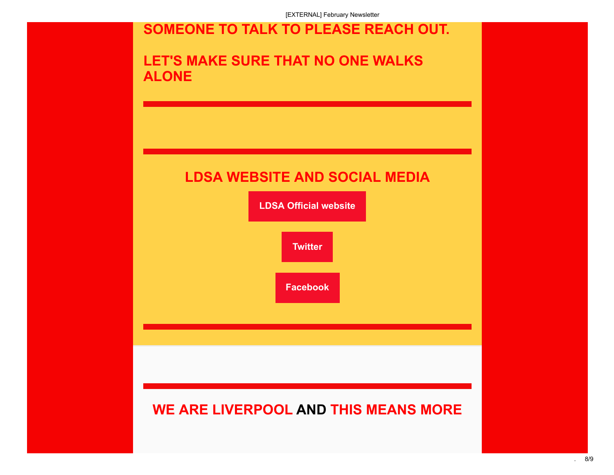[EXTERNAL] February Newsletter

# **SOMEONE TO TALK TO PLEASE REACH OUT.**

# **LET'S MAKE SURE THAT NO ONE WALKS ALONE**

# **LDSA WEBSITE AND SOCIAL MEDIA**